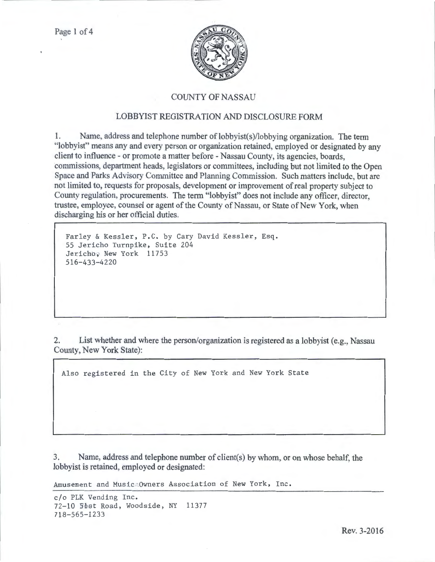

## COUNTY OF NASSAU

## LOBBYIST REGISTRATION AND DISCLOSURE FORM

1. Name, address and telephone number of lobbyist(s)/lobbying organization. The term "lobbyist" means any and every person or organization retained, employed or designated by any client to influence - or promote a matter before -Nassau County, its agencies, boards, commissions, department heads, legislators or committees, including but not limited to the Open Space and Parks Advisory Committee and Planning Commission. Such matters include, but arc not limited to, requests for proposals, development or improvement of real property subject to County regulation, procurements. The term "lobbyist" does not include any officer, director, trustee, employee, counsel or agent of the County of Nassau, or State of New York, when discharging his or her official duties.

```
Farley & Kessler, P.C. by Cary David Kessler, Esq. 
55 Jericho Turnpike, Suite 204 
Jericho, New York 11753
516-433-4220
```
2. List whether and where the person/organization is registered as a lobbyist (e.g., Nassau County, New York State):

Also registered in the City of New York and New York State

3. Name, address and telephone number of client(s) by whom, or on whose behalf, the lobbyist is retained, employed or designated:

Amusement and Music Owners Association of New York, Inc.

c/o PLK Vending Inc. 72-10 5bst Road, Woodside, NY 11377 718-565-1233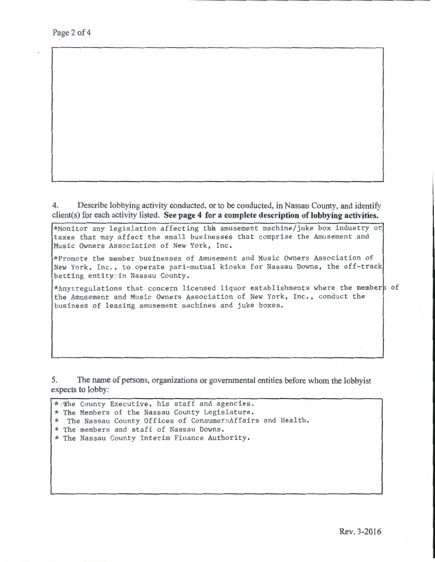Page 2 of 4

4. Describe lobbying activity conducted, or to be conducted, in Nassau County, and identify client(s) for each activity listed. **See page 4 for a complete description of lobbying activities.** 

\*Monitor any legislation affecting the amusement machine/juke box industry or taxes that may affect the small businesses that comprise the Amusement and Music Owners Association of New York, Inc.

\*Promote the member businesses of Amusement and Music Owners Association of New York, Inc., to operate pari-mutual kiosks for Nassau Downs, the off-track betting entity in Nassau County.

\*Anytregulations that concern licensed liquor establishments where the members of the Amusement and Music Owners Association of New York, Inc., conduct the business of leasing amusement machines and juke boxes.

5. The name of persons, organizations or governmental entities before whom the lobbyist expects to lobby:

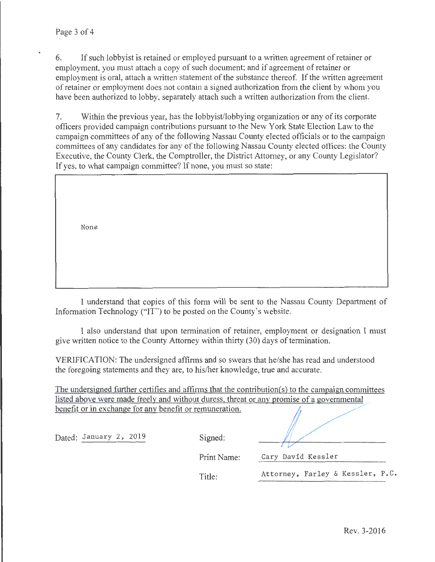6. If such lobbyist is retained or employed pursuant to a written agreement of retainer or employment, you must attach a copy of such document; and if agreement of retainer or employment is oral, attach a written statement of the substance thereof. If the written agreement of retainer or employment does not contain a signed authorization from the client by whom you have been authorized to lobby, separately attach such a written authorization from the client.

7. Within the previous year, has the lobbyist/lobbying organization or any of its corporate officers provided campaign contributions pursuant to the New York State Election Law to the campaign committees of any of the following Nassau County elected officials or to the campaign committees of any candidates tor any of the following Nassau County elected offices: the County Executive, the County Clerk, the Comptroller, the District Attorney, or any County Legislator? If yes, to what campaign committee? If none, you must so state:

None

I understand that copies of this form will be sent to the Nassau County Department of Information Technology ("IT") to be posted on the County's website.

I also understand that upon termination of retainer, employment or designation I must give written notice to the County Attorney within thirty (30) days of termination.

VERIFICATION: The undersigned affirms and so swears that he/she has read and understood the foregoing statements and they are, to his/her knowledge, true and accurate.

The undersigned further certifies and affirms that the contribution(s) to the campaign committees listed above were made freely and without duress. threat or any promise of a governmental benefit or in exchange for any benefit or remuneration.

| Dated: January 2, 2019 | Signed:     |                                  |
|------------------------|-------------|----------------------------------|
|                        | Print Name: | Cary David Kessler               |
|                        | Title:      | Attorney, Farley & Kessler, P.C. |